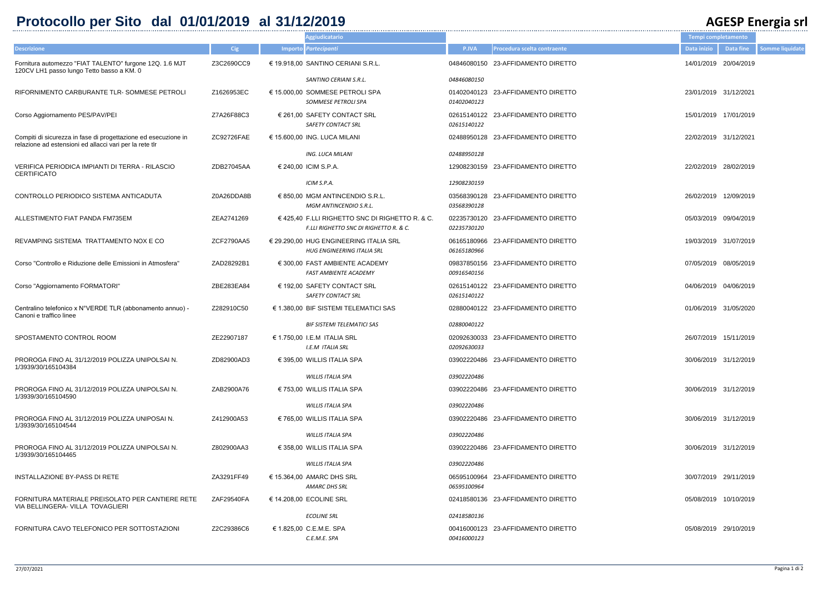## **Protocollo per Sito dal 01/01/2019 al 31/12/2019 AGESP Energia srl**

|         |                                |                       |                       | AULUI LIICI SIA JII    |
|---------|--------------------------------|-----------------------|-----------------------|------------------------|
|         |                                | Tempi completamento   |                       |                        |
| P.IVA   | Procedura scelta contraente    | Data inizio           | <b>Data fine</b>      | <b>Somme liquidate</b> |
|         | 6080150 23-AFFIDAMENTO DIRETTO |                       | 14/01/2019 20/04/2019 |                        |
| 5080150 |                                |                       |                       |                        |
| 2040123 | 2040123 23-AFFIDAMENTO DIRETTO | 23/01/2019 31/12/2021 |                       |                        |
| 5140122 | 5140122 23-AFFIDAMENTO DIRETTO | 15/01/2019 17/01/2019 |                       |                        |
|         | 8950128 23-AFFIDAMENTO DIRETTO | 22/02/2019 31/12/2021 |                       |                        |
| 8950128 |                                |                       |                       |                        |
|         | 8230159 23-AFFIDAMENTO DIRETTO | 22/02/2019 28/02/2019 |                       |                        |
| 8230159 |                                |                       |                       |                        |
| 8390128 | 8390128 23-AFFIDAMENTO DIRETTO | 26/02/2019 12/09/2019 |                       |                        |
| 5730120 | 5730120 23-AFFIDAMENTO DIRETTO | 05/03/2019 09/04/2019 |                       |                        |
| 5180966 | 5180966 23-AFFIDAMENTO DIRETTO |                       | 19/03/2019 31/07/2019 |                        |
| 5540156 | 7850156 23-AFFIDAMENTO DIRETTO | 07/05/2019 08/05/2019 |                       |                        |
| 5140122 | 5140122 23-AFFIDAMENTO DIRETTO | 04/06/2019 04/06/2019 |                       |                        |
|         | 0040122 23-AFFIDAMENTO DIRETTO |                       | 01/06/2019 31/05/2020 |                        |
| 0040122 |                                |                       |                       |                        |
| 2630033 | 2630033 23-AFFIDAMENTO DIRETTO |                       | 26/07/2019 15/11/2019 |                        |
|         | 2220486 23-AFFIDAMENTO DIRETTO | 30/06/2019 31/12/2019 |                       |                        |
| 2220486 |                                |                       |                       |                        |
|         | 2220486 23-AFFIDAMENTO DIRETTO | 30/06/2019 31/12/2019 |                       |                        |
| 2220486 |                                |                       |                       |                        |
|         | 2220486 23-AFFIDAMENTO DIRETTO |                       | 30/06/2019 31/12/2019 |                        |
| 2220486 |                                |                       |                       |                        |
|         | 2220486 23-AFFIDAMENTO DIRETTO | 30/06/2019 31/12/2019 |                       |                        |
| 2220486 |                                |                       |                       |                        |
| 5100964 | 5100964 23-AFFIDAMENTO DIRETTO |                       | 30/07/2019 29/11/2019 |                        |
|         | 8580136 23-AFFIDAMENTO DIRETTO | 05/08/2019 10/10/2019 |                       |                        |
| 8580136 |                                |                       |                       |                        |
|         | 6000123 23-AFFIDAMENTO DIRETTO |                       | 05/08/2019 29/10/2019 |                        |

|                                                                                                                           |            | <b>Aggiudicatario</b>                                                                                |                            |                                    | Tempi completamento |                       |
|---------------------------------------------------------------------------------------------------------------------------|------------|------------------------------------------------------------------------------------------------------|----------------------------|------------------------------------|---------------------|-----------------------|
| <b>Descrizione</b>                                                                                                        | <b>Cig</b> | Importo Partecipanti                                                                                 | <b>P.IVA</b>               | Procedura scelta contraente        | Data inizio         | Data fine             |
| Fornitura automezzo "FIAT TALENTO" furgone 12Q. 1.6 MJT<br>120CV LH1 passo lungo Tetto basso a KM. 0                      | Z3C2690CC9 | € 19.918,00 SANTINO CERIANI S.R.L.                                                                   |                            | 04846080150 23-AFFIDAMENTO DIRETTO |                     | 14/01/2019 20/04/2019 |
|                                                                                                                           |            | SANTINO CERIANI S.R.L.                                                                               | 04846080150                |                                    |                     |                       |
| RIFORNIMENTO CARBURANTE TLR-SOMMESE PETROLI                                                                               | Z1626953EC | € 15.000,00 SOMMESE PETROLI SPA<br>SOMMESE PETROLI SPA                                               | 01402040123<br>01402040123 | 23-AFFIDAMENTO DIRETTO             |                     | 23/01/2019 31/12/2021 |
| Corso Aggiornamento PES/PAV/PEI                                                                                           | Z7A26F88C3 | € 261,00 SAFETY CONTACT SRL<br><b>SAFETY CONTACT SRL</b>                                             | 02615140122                | 02615140122 23-AFFIDAMENTO DIRETTO |                     | 15/01/2019 17/01/2019 |
| Compiti di sicurezza in fase di progettazione ed esecuzione in<br>relazione ad estensioni ed allacci vari per la rete tlr | ZC92726FAE | € 15.600,00 ING. LUCA MILANI                                                                         |                            | 02488950128 23-AFFIDAMENTO DIRETTO |                     | 22/02/2019 31/12/2021 |
|                                                                                                                           |            | ING. LUCA MILANI                                                                                     | 02488950128                |                                    |                     |                       |
| VERIFICA PERIODICA IMPIANTI DI TERRA - RILASCIO<br><b>CERTIFICATO</b>                                                     | ZDB27045AA | € 240,00 ICIM S.P.A.<br>ICIM S.P.A.                                                                  | 12908230159<br>12908230159 | 23-AFFIDAMENTO DIRETTO             |                     | 22/02/2019 28/02/2019 |
| CONTROLLO PERIODICO SISTEMA ANTICADUTA                                                                                    | Z0A26DDA8B | € 850,00 MGM ANTINCENDIO S.R.L.<br><b>MGM ANTINCENDIO S.R.L.</b>                                     | 03568390128<br>03568390128 | 23-AFFIDAMENTO DIRETTO             |                     | 26/02/2019 12/09/2019 |
| ALLESTIMENTO FIAT PANDA FM735EM                                                                                           | ZEA2741269 | € 425,40 F.LLI RIGHETTO SNC DI RIGHETTO R. & C.<br><b>F.LLI RIGHETTO SNC DI RIGHETTO R. &amp; C.</b> | 02235730120<br>02235730120 | 23-AFFIDAMENTO DIRETTO             |                     | 05/03/2019 09/04/2019 |
| REVAMPING SISTEMA TRATTAMENTO NOX E CO                                                                                    | ZCF2790AA5 | € 29.290,00 HUG ENGINEERING ITALIA SRL<br><b>HUG ENGINEERING ITALIA SRL</b>                          | 06165180966<br>06165180966 | 23-AFFIDAMENTO DIRETTO             |                     | 19/03/2019 31/07/2019 |
| Corso "Controllo e Riduzione delle Emissioni in Atmosfera"                                                                | ZAD28292B1 | € 300,00 FAST AMBIENTE ACADEMY<br>FAST AMBIENTE ACADEMY                                              | 09837850156<br>00916540156 | 23-AFFIDAMENTO DIRETTO             |                     | 07/05/2019 08/05/2019 |
| Corso "Aggiornamento FORMATORI"                                                                                           | ZBE283EA84 | € 192,00 SAFETY CONTACT SRL<br><b>SAFETY CONTACT SRL</b>                                             | 02615140122<br>02615140122 | 23-AFFIDAMENTO DIRETTO             |                     | 04/06/2019 04/06/2019 |
| Centralino telefonico x N°VERDE TLR (abbonamento annuo) -<br>Canoni e traffico linee                                      | Z282910C50 | € 1.380,00 BIF SISTEMI TELEMATICI SAS                                                                | 02880040122                | 23-AFFIDAMENTO DIRETTO             |                     | 01/06/2019 31/05/2020 |
|                                                                                                                           |            | <b>BIF SISTEMI TELEMATICI SAS</b>                                                                    | 02880040122                |                                    |                     |                       |
| SPOSTAMENTO CONTROL ROOM                                                                                                  | ZE22907187 | € 1.750,00 I.E.M ITALIA SRL<br>I.E.M ITALIA SRL                                                      | 02092630033                | 02092630033 23-AFFIDAMENTO DIRETTO |                     | 26/07/2019 15/11/2019 |
| PROROGA FINO AL 31/12/2019 POLIZZA UNIPOLSAI N.<br>1/3939/30/165104384                                                    | ZD82900AD3 | € 395,00 WILLIS ITALIA SPA                                                                           |                            | 03902220486 23-AFFIDAMENTO DIRETTO |                     | 30/06/2019 31/12/2019 |
| PROROGA FINO AL 31/12/2019 POLIZZA UNIPOLSAI N.                                                                           | ZAB2900A76 | <b>WILLIS ITALIA SPA</b><br>$\in$ 753.00 WILLIS ITALIA SPA                                           | <i>03902220486</i>         | 03902220486 23-AFFIDAMENTO DIRETTO |                     | 30/06/2019 31/12/2019 |
| 1/3939/30/165104590                                                                                                       |            |                                                                                                      |                            |                                    |                     |                       |
| PROROGA FINO AL 31/12/2019 POLIZZA UNIPOSAI N.                                                                            | Z412900A53 | <b>WILLIS ITALIA SPA</b><br>$\in$ 765,00 WILLIS ITALIA SPA                                           | <i>03902220486</i>         | 03902220486 23-AFFIDAMENTO DIRETTO |                     | 30/06/2019 31/12/2019 |
| 1/3939/30/165104544                                                                                                       |            |                                                                                                      | 03902220486                |                                    |                     |                       |
| PROROGA FINO AL 31/12/2019 POLIZZA UNIPOLSAI N.                                                                           | Z802900AA3 | <b>WILLIS ITALIA SPA</b><br>$\in$ 358,00 WILLIS ITALIA SPA                                           |                            | 03902220486 23-AFFIDAMENTO DIRETTO |                     | 30/06/2019 31/12/2019 |
| 1/3939/30/165104465                                                                                                       |            | WILLIS ITALIA SPA                                                                                    | 03902220486                |                                    |                     |                       |
| INSTALLAZIONE BY-PASS DI RETE                                                                                             | ZA3291FF49 | $\epsilon$ 15.364,00 AMARC DHS SRL                                                                   | 06595100964                | 23-AFFIDAMENTO DIRETTO             |                     | 30/07/2019 29/11/2019 |
|                                                                                                                           |            | AMARC DHS SRL                                                                                        | 06595100964                |                                    |                     |                       |
| FORNITURA MATERIALE PREISOLATO PER CANTIERE RETE<br>VIA BELLINGERA- VILLA TOVAGLIERI                                      | ZAF29540FA | € 14.208,00 ECOLINE SRL                                                                              |                            | 02418580136 23-AFFIDAMENTO DIRETTO |                     | 05/08/2019 10/10/2019 |
|                                                                                                                           |            | <b>ECOLINE SRL</b>                                                                                   | 02418580136                |                                    |                     |                       |
| FORNITURA CAVO TELEFONICO PER SOTTOSTAZIONI                                                                               | Z2C29386C6 | € 1.825,00 C.E.M.E. SPA<br>C.E.M.E. SPA                                                              | 00416000123                | 00416000123 23-AFFIDAMENTO DIRETTO |                     | 05/08/2019 29/10/2019 |
|                                                                                                                           |            |                                                                                                      |                            |                                    |                     |                       |